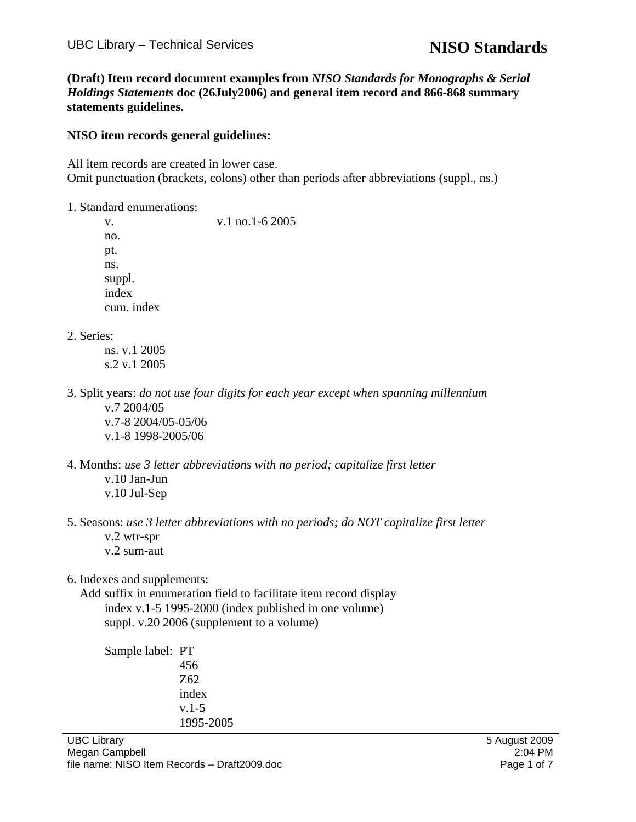**(Draft) Item record document examples from** *NISO Standards for Monographs & Serial Holdings Statements* **doc (26July2006) and general item record and 866-868 summary statements guidelines.** 

#### **NISO item records general guidelines:**

All item records are created in lower case. Omit punctuation (brackets, colons) other than periods after abbreviations (suppl., ns.)

1. Standard enumerations:

v. 1 no. 1 - 6 2005 no. pt. ns. suppl. index cum. index

2. Series:

 ns. v.1 2005 s.2 v.1 2005

3. Split years: *do not use four digits for each year except when spanning millennium* v.7 2004/05 v.7-8 2004/05-05/06

v.1-8 1998-2005/06

- 4. Months: *use 3 letter abbreviations with no period; capitalize first letter* v.10 Jan-Jun v.10 Jul-Sep
- 5. Seasons: *use 3 letter abbreviations with no periods; do NOT capitalize first letter* v.2 wtr-spr v.2 sum-aut
- 6. Indexes and supplements:

 Add suffix in enumeration field to facilitate item record display index v.1-5 1995-2000 (index published in one volume) suppl. v.20 2006 (supplement to a volume)

 Sample label: PT 456 Z62 index v.1-5 1995-2005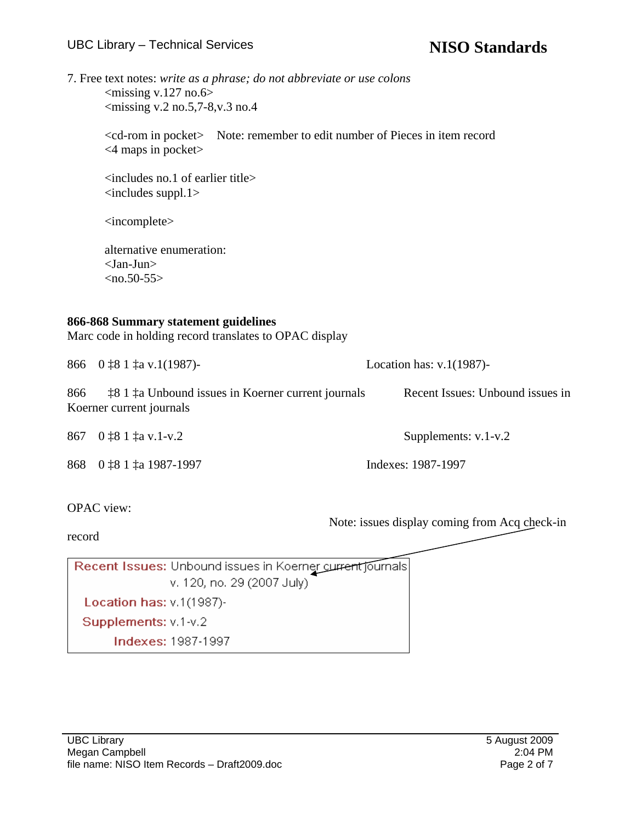7. Free text notes: *write as a phrase; do not abbreviate or use colons*  $\langle$  missing v.127 no.6>  $\langle$ missing v.2 no.5,7-8, v.3 no.4

> <cd-rom in pocket> Note: remember to edit number of Pieces in item record <4 maps in pocket>

 <includes no.1 of earlier title> <includes suppl.1>

<incomplete>

 alternative enumeration: <Jan-Jun>  $\langle$ no.50-55>

### **866-868 Summary statement guidelines**

Marc code in holding record translates to OPAC display

|     | 866 $0 \text{ }$ 1 $\text{ }$ 1 $\text{ }$ 1 $\text{ }$ 1 $\text{ }$ 1 $\text{ }$ 1 $\text{ }$ 1 $\text{ }$ 1 $\text{ }$ 1 $\text{ }$ 1 $\text{ }$ 1 $\text{ }$ 1 $\text{ }$ 1 $\text{ }$ 1 $\text{ }$ 1 $\text{ }$ 1 $\text{ }$ 1 $\text{ }$ 1 $\text{ }$ 1 $\text{ }$ 1 $\text{ }$ 1 $\text{ }$ 1 $\text{ }$ 1 $\text{ }$ 1 | Location has: $v.1(1987)$ -      |
|-----|-------------------------------------------------------------------------------------------------------------------------------------------------------------------------------------------------------------------------------------------------------------------------------------------------------------------------------|----------------------------------|
| 866 | <b>18.1 the Unbound issues in Koerner current journals</b><br>Koerner current journals                                                                                                                                                                                                                                        | Recent Issues: Unbound issues in |
|     | 867 $0 \, \text{\textsterling}81 \, \text{\textsterling}a \, \text{v.1-v.2}$                                                                                                                                                                                                                                                  | Supplements: $v.1-v.2$           |

868 0 ‡8 1 ‡a 1987-1997 Indexes: 1987-1997

OPAC view:

Note: issues display coming from Acq check-in

record

Recent Issues: Unbound issues in Koerner current journals v. 120, no. 29 (2007 July). Location has: v.1(1987)-Supplements: v.1-v.2 **Indexes: 1987-1997**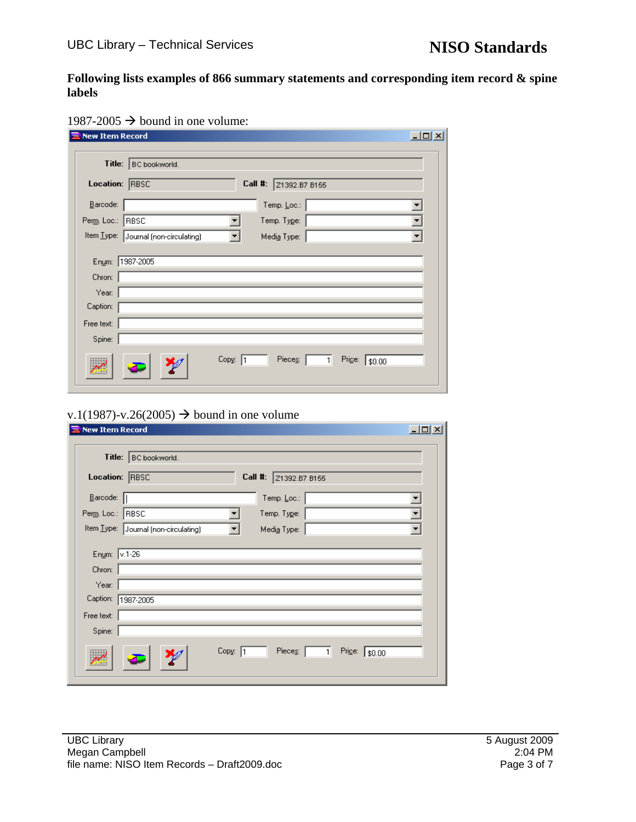**Following lists examples of 866 summary statements and corresponding item record & spine labels** 

|  |  | 1987-2005 $\rightarrow$ bound in one volume: |
|--|--|----------------------------------------------|
|--|--|----------------------------------------------|

| <b>New Item Record</b> |                                                             | $ \Box$ $\times$ |
|------------------------|-------------------------------------------------------------|------------------|
|                        | Title:   BC bookworld.                                      |                  |
| Location: RBSC         | Call #:<br>Z1392.B7 B155                                    |                  |
| $B$ arcode:            | Temp. Loc.:                                                 |                  |
| Perm. Loc.:  RBSC      | Temp. Type:                                                 |                  |
|                        | Item Type: Journal (non-circulating)<br>Medi <u>a</u> Type: |                  |
| Chron:                 | Enum: 1987-2005                                             |                  |
| Year:<br>Caption:      |                                                             |                  |
| Free text:<br>Spine:   |                                                             |                  |
|                        | Copy: 1<br>Pieces:  <br>Price: \$0.00<br>$\mathbf{1}$       |                  |

# v.1(1987)-v.26(2005)  $\rightarrow$  bound in one volume

| <b>New Item Record</b>                                                           | $\Box$ o $\Box$                                     |
|----------------------------------------------------------------------------------|-----------------------------------------------------|
| Title:   BC bookworld.                                                           |                                                     |
| Location: RBSC                                                                   | Call #: 21392.B7 B155                               |
| Barcode:                                                                         | Temp. Loc.:                                         |
| Perm. Loc.: RBSC                                                                 | Temp. Type:                                         |
| Item Type: Journal (non-circulating)                                             | Media Type:                                         |
| Enum: v.1-26<br>Chron:<br>Year:<br>Caption:<br>1987-2005<br>Free text:<br>Spine: |                                                     |
|                                                                                  | Copy: 1<br>Pieces:<br>Price: \$0.00<br>$\mathbf{1}$ |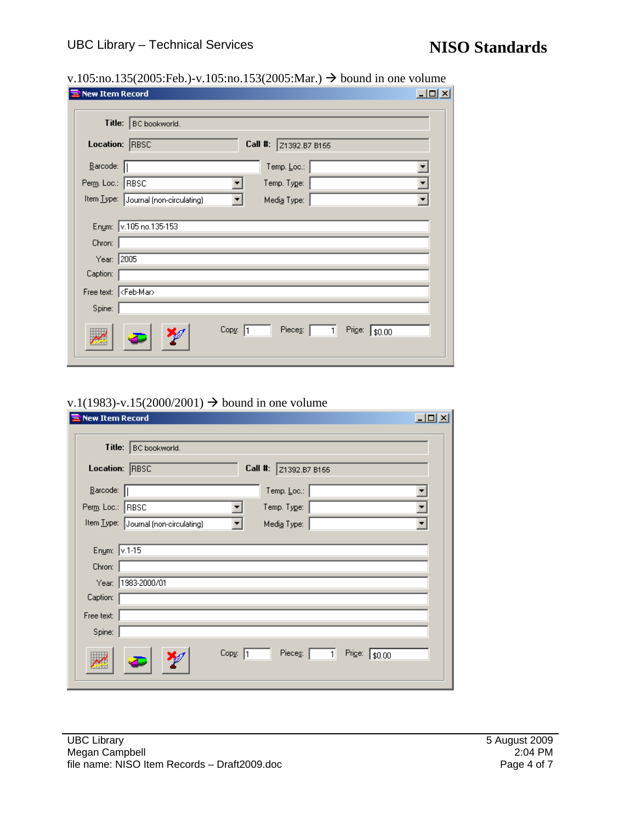|--|

| New Item Record                                                                                          | $ \Box$ $\times$                             |
|----------------------------------------------------------------------------------------------------------|----------------------------------------------|
| Title:   BC bookworld.                                                                                   |                                              |
| Location: RBSC                                                                                           | Call #:<br>Z1392.B7 B155                     |
| Barcode:                                                                                                 | Temp. Loc.:                                  |
| Perm. Loc.:<br>RBSC                                                                                      | Temp. Type:                                  |
| Item Type: Journal (non-circulating)                                                                     | Media Type:                                  |
| Enum: v.105 no.135-153<br>Chron:<br>Year: 2005<br>Caption:<br>Free text: < Feb-Mar><br>Spine:<br>Copy: 1 | Pieces:<br>Price:<br>$\mathbf{1}$<br> \$0.00 |

#### v.1(1983)-v.15(2000/2001)  $\rightarrow$  bound in one volume

| <b>New Item Record</b>                                |                                                               | $\Box$ D $\times$ |
|-------------------------------------------------------|---------------------------------------------------------------|-------------------|
| Title:                                                | BC bookworld.                                                 |                   |
| Location: RBSC                                        | Call #: 21392.B7 B155                                         |                   |
| $\underline{\mathsf{B}}$ arcode: $\boxed{\mathsf{R}}$ | Temp, $\underline{\mathsf{Loc}}$ :                            |                   |
| Perm. Loc.: RBSC                                      | Temp. Type:                                                   |                   |
|                                                       | Item Type: Journal (non-circulating)<br>Media Type:           |                   |
|                                                       |                                                               |                   |
| Enum: v.1-15                                          |                                                               |                   |
| Chron:                                                |                                                               |                   |
|                                                       | Year: 1983-2000/01                                            |                   |
| Caption:                                              |                                                               |                   |
| Free text:                                            |                                                               |                   |
| Spine:                                                |                                                               |                   |
|                                                       | Copy: 1<br>Pieces:<br>Price: $\sqrt{$0.00}$<br>1 <sup>1</sup> |                   |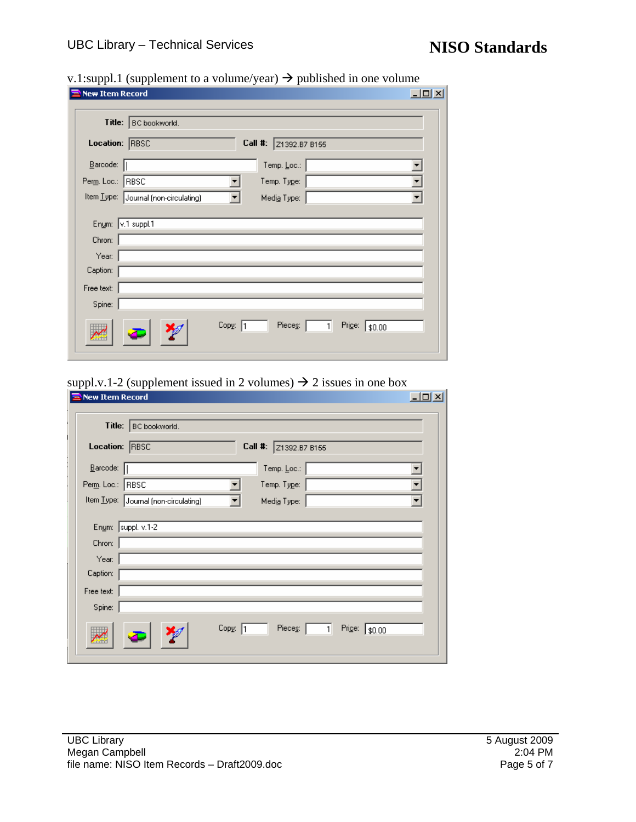| <b>New Item Record</b>                                           | $\frac{1}{2}$ . $\frac{1}{2}$ $\frac{1}{2}$ $\frac{1}{2}$ $\frac{1}{2}$ $\frac{1}{2}$ $\frac{1}{2}$ $\frac{1}{2}$ $\frac{1}{2}$ $\frac{1}{2}$ $\frac{1}{2}$ $\frac{1}{2}$ $\frac{1}{2}$ $\frac{1}{2}$ $\frac{1}{2}$ $\frac{1}{2}$ $\frac{1}{2}$ $\frac{1}{2}$ $\frac{1}{2}$ $\frac{1}{2}$ $\frac{1}{2}$ $\frac{1}{2}$ | $\Box$ D $\Box$ |
|------------------------------------------------------------------|-----------------------------------------------------------------------------------------------------------------------------------------------------------------------------------------------------------------------------------------------------------------------------------------------------------------------|-----------------|
| Title:                                                           | BC bookworld.                                                                                                                                                                                                                                                                                                         |                 |
| Location: RBSC                                                   | Call #: 21392.B7 B155                                                                                                                                                                                                                                                                                                 |                 |
| $\underline{\mathsf{B}}$ arcode: $\begin{bmatrix} \end{bmatrix}$ | Temp. <u>L</u> oc.:                                                                                                                                                                                                                                                                                                   |                 |
| Perm. Loc.: RBSC                                                 | Temp. Type:                                                                                                                                                                                                                                                                                                           |                 |
|                                                                  | Item Type: Journal (non-circulating)<br>Media Type:                                                                                                                                                                                                                                                                   |                 |
| Enum: v.1 suppl.1<br>Chron:                                      |                                                                                                                                                                                                                                                                                                                       |                 |
| Year:                                                            |                                                                                                                                                                                                                                                                                                                       |                 |
| Caption:                                                         |                                                                                                                                                                                                                                                                                                                       |                 |
| Free text:                                                       |                                                                                                                                                                                                                                                                                                                       |                 |
| Spine:                                                           |                                                                                                                                                                                                                                                                                                                       |                 |
|                                                                  | Copy: 1<br>Pieces: $\boxed{1}$<br>Price: \$0.00                                                                                                                                                                                                                                                                       |                 |

## v.1:suppl.1 (supplement to a volume/year)  $\rightarrow$  published in one volume

### suppl.v.1-2 (supplement issued in 2 volumes)  $\rightarrow$  2 issues in one box

|                                                       | Title:   BC bookworld.               |         |                                    |              |                       |  |
|-------------------------------------------------------|--------------------------------------|---------|------------------------------------|--------------|-----------------------|--|
| Location: RBSC                                        |                                      |         | Call #: 21392.B7 B155              |              |                       |  |
| $\underline{\mathsf{B}}$ arcode: $\boxed{\mathsf{B}}$ |                                      |         | Temp, $\underline{\mathsf{Loc}}$ : |              |                       |  |
| Perm. Loc.: RBSC                                      |                                      |         | Temp. Type:                        |              |                       |  |
|                                                       | Item Type: Journal (non-circulating) |         | Media Type:                        |              |                       |  |
| Chron:<br>Year:<br>Caption:                           | Enum: suppl. v.1-2                   |         |                                    |              |                       |  |
| Free text:<br>Spine:                                  |                                      |         |                                    |              |                       |  |
|                                                       |                                      | Copy: 1 | Pieces:                            | $\mathbf{1}$ | Price: $\sqrt{$0.00}$ |  |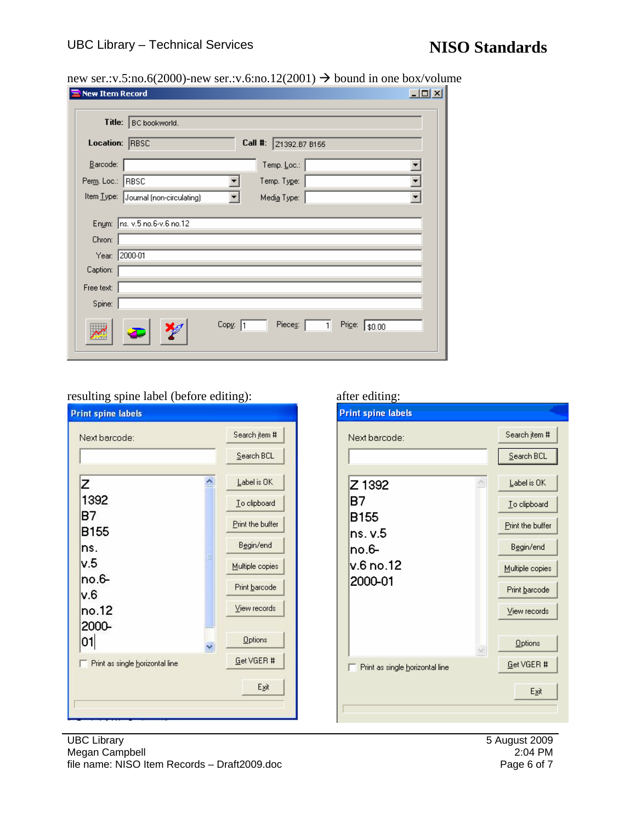new ser.:v.5:no.6(2000)-new ser.:v.6:no.12(2001)  $\rightarrow$  bound in one box/volume

| <b>New Item Record</b>                                                                                 | $\Box$ $\times$                              |
|--------------------------------------------------------------------------------------------------------|----------------------------------------------|
| Title:<br>BC bookworld.                                                                                |                                              |
| Location: RBSC                                                                                         | Call #:<br>Z1392.B7 B155                     |
| $B$ arcode:                                                                                            | Temp. Loc.:                                  |
| Perm. Loc.: RBSC                                                                                       | Temp. Type:                                  |
| Item Type: Journal (non-circulating)                                                                   | Medi <u>a</u> Type:                          |
| Enum: ns. v.5 no.6-v.6 no.12<br>Chron:<br>Year: 2000-01<br>Caption:<br>Free text:<br>Spine:<br>Copy: 1 | Pieces:<br>Price:<br>$\mathbf{1}$<br> \$0.00 |

# resulting spine label (before editing): after editing:

| Next barcode:                   | Search jtem #        |
|---------------------------------|----------------------|
|                                 | Search BCL           |
| z                               | Label is OK          |
| 1392                            | To clipboard         |
| в7                              | Print the buffer     |
| B155<br>ns.                     | Begin/end            |
| v.5                             | ≣<br>Multiple copies |
| no.6-                           | Print barcode        |
| v.6                             |                      |
| no.12                           | View records         |
| 2000-<br>01                     | Options<br>v         |
| Print as single horizontal line | Get VGER #           |
|                                 | Exit                 |

| Search item #    |
|------------------|
| Search BCL       |
| Label is OK      |
| To clipboard     |
| Print the buffer |
| Begin/end        |
| Multiple copies  |
| Print barcode    |
| View records     |
| Options          |
| Get VGER #       |
| Egit             |
|                  |